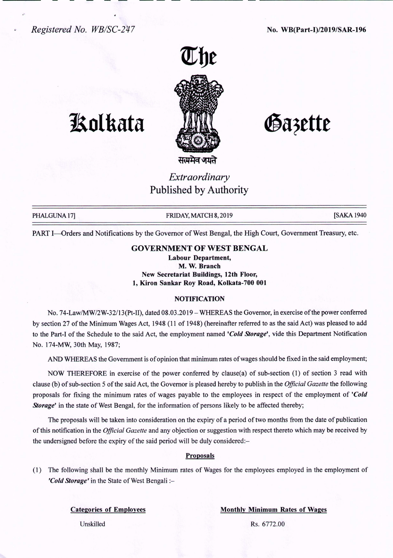*Registered No. WB/SC-247* No. WB(Part-I)/2019/SAR-196



# **1Solkata**

Gazette

*Extraordinary* Published by Authority

PHALGUNA 17] FRIDAY, MATCH 8, 2019 **FRIDAY, MATCH 8, 2019** [SAKA 1940]

PART I-Orders and Notifications by the Governor of West Bengal, the High Court, Government Treasury, etc.

# GOVERNMENT OF WEST BENGAL

Labour Department, M. W. Branch New Secretariat Buildings, 12th Floor, 1, Kiron Sankar Roy Road, Kolkata-700 001

## NOTIFICATION

No. 74-LawIMW/2W-32/13(Pt-II), dated 08.03.2019 - WHEREAS the Governor, in exercise of the power conferred by section 27 of the Minimum Wages Act, 1948 (11 of 1948) (hereinafter referred to as the said Act) was pleased to add to the Part-I of the Schedule to the said Act, the employment named *'Cold Storage',* vide this Department Notification No. 174-MW, 30th May, 1987;

AND WHEREAS the Government is of opinion that minimum rates of wages should be fixed in the said employment;

NOW THEREFORE in exercise of the power conferred by clause(a) of sub-section (1) of section 3 read with clause (b) of sub-section 5 of the said Act, the Governor is pleased hereby to publish in the *Official Gazette* the following proposals for fixing the minimum rates of wages payable to the employees in respect of the employment of *'Cold Storage'* in the state of West Bengal, for the information of persons likely to be affected thereby;

The proposals will be taken into consideration on the expiry of a period of two months from the date of publication of this notification in the *Official Gazette* and any objection or suggestion with respect thereto which may be received by the undersigned before the expiry of the said period will be duly considered:-

### Proposals

(1) The following shall be the monthly Minimum rates of Wages for the employees employed in the employment of *'Cold Storage'* in the State of West Bengali :-

Categories of Employees Monthly Minimum Rates of Wages

Unskilled Rs. 6772.00